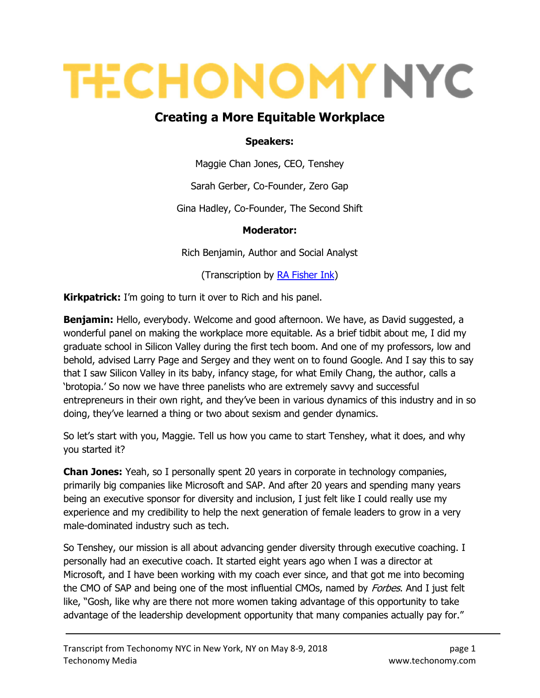# **TECHONOMY NYC**

# Creating a More Equitable Workplace

#### Speakers:

Maggie Chan Jones, CEO, Tenshey

Sarah Gerber, Co-Founder, Zero Gap

Gina Hadley, Co-Founder, The Second Shift

#### Moderator:

Rich Benjamin, Author and Social Analyst

(Transcription by RA Fisher Ink)

**Kirkpatrick:** I'm going to turn it over to Rich and his panel.

**Benjamin:** Hello, everybody. Welcome and good afternoon. We have, as David suggested, a wonderful panel on making the workplace more equitable. As a brief tidbit about me, I did my graduate school in Silicon Valley during the first tech boom. And one of my professors, low and behold, advised Larry Page and Sergey and they went on to found Google. And I say this to say that I saw Silicon Valley in its baby, infancy stage, for what Emily Chang, the author, calls a 'brotopia.' So now we have three panelists who are extremely savvy and successful entrepreneurs in their own right, and they've been in various dynamics of this industry and in so doing, they've learned a thing or two about sexism and gender dynamics.

So let's start with you, Maggie. Tell us how you came to start Tenshey, what it does, and why you started it?

**Chan Jones:** Yeah, so I personally spent 20 years in corporate in technology companies, primarily big companies like Microsoft and SAP. And after 20 years and spending many years being an executive sponsor for diversity and inclusion, I just felt like I could really use my experience and my credibility to help the next generation of female leaders to grow in a very male-dominated industry such as tech.

So Tenshey, our mission is all about advancing gender diversity through executive coaching. I personally had an executive coach. It started eight years ago when I was a director at Microsoft, and I have been working with my coach ever since, and that got me into becoming the CMO of SAP and being one of the most influential CMOs, named by *Forbes*. And I just felt like, "Gosh, like why are there not more women taking advantage of this opportunity to take advantage of the leadership development opportunity that many companies actually pay for."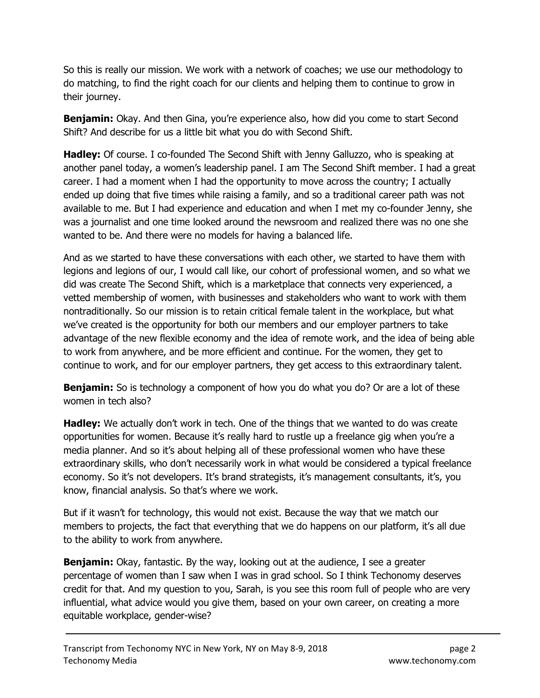So this is really our mission. We work with a network of coaches; we use our methodology to do matching, to find the right coach for our clients and helping them to continue to grow in their journey.

**Benjamin:** Okay. And then Gina, you're experience also, how did you come to start Second Shift? And describe for us a little bit what you do with Second Shift.

Hadley: Of course. I co-founded The Second Shift with Jenny Galluzzo, who is speaking at another panel today, a women's leadership panel. I am The Second Shift member. I had a great career. I had a moment when I had the opportunity to move across the country; I actually ended up doing that five times while raising a family, and so a traditional career path was not available to me. But I had experience and education and when I met my co-founder Jenny, she was a journalist and one time looked around the newsroom and realized there was no one she wanted to be. And there were no models for having a balanced life.

And as we started to have these conversations with each other, we started to have them with legions and legions of our, I would call like, our cohort of professional women, and so what we did was create The Second Shift, which is a marketplace that connects very experienced, a vetted membership of women, with businesses and stakeholders who want to work with them nontraditionally. So our mission is to retain critical female talent in the workplace, but what we've created is the opportunity for both our members and our employer partners to take advantage of the new flexible economy and the idea of remote work, and the idea of being able to work from anywhere, and be more efficient and continue. For the women, they get to continue to work, and for our employer partners, they get access to this extraordinary talent.

**Benjamin:** So is technology a component of how you do what you do? Or are a lot of these women in tech also?

**Hadley:** We actually don't work in tech. One of the things that we wanted to do was create opportunities for women. Because it's really hard to rustle up a freelance gig when you're a media planner. And so it's about helping all of these professional women who have these extraordinary skills, who don't necessarily work in what would be considered a typical freelance economy. So it's not developers. It's brand strategists, it's management consultants, it's, you know, financial analysis. So that's where we work.

But if it wasn't for technology, this would not exist. Because the way that we match our members to projects, the fact that everything that we do happens on our platform, it's all due to the ability to work from anywhere.

**Benjamin:** Okay, fantastic. By the way, looking out at the audience, I see a greater percentage of women than I saw when I was in grad school. So I think Techonomy deserves credit for that. And my question to you, Sarah, is you see this room full of people who are very influential, what advice would you give them, based on your own career, on creating a more equitable workplace, gender-wise?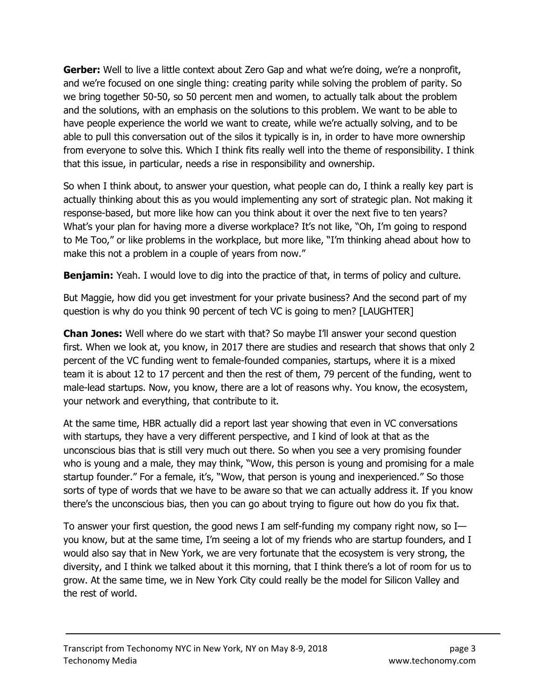Gerber: Well to live a little context about Zero Gap and what we're doing, we're a nonprofit, and we're focused on one single thing: creating parity while solving the problem of parity. So we bring together 50-50, so 50 percent men and women, to actually talk about the problem and the solutions, with an emphasis on the solutions to this problem. We want to be able to have people experience the world we want to create, while we're actually solving, and to be able to pull this conversation out of the silos it typically is in, in order to have more ownership from everyone to solve this. Which I think fits really well into the theme of responsibility. I think that this issue, in particular, needs a rise in responsibility and ownership.

So when I think about, to answer your question, what people can do, I think a really key part is actually thinking about this as you would implementing any sort of strategic plan. Not making it response-based, but more like how can you think about it over the next five to ten years? What's your plan for having more a diverse workplace? It's not like, "Oh, I'm going to respond to Me Too," or like problems in the workplace, but more like, "I'm thinking ahead about how to make this not a problem in a couple of years from now."

**Benjamin:** Yeah. I would love to dig into the practice of that, in terms of policy and culture.

But Maggie, how did you get investment for your private business? And the second part of my question is why do you think 90 percent of tech VC is going to men? [LAUGHTER]

**Chan Jones:** Well where do we start with that? So maybe I'll answer your second question first. When we look at, you know, in 2017 there are studies and research that shows that only 2 percent of the VC funding went to female-founded companies, startups, where it is a mixed team it is about 12 to 17 percent and then the rest of them, 79 percent of the funding, went to male-lead startups. Now, you know, there are a lot of reasons why. You know, the ecosystem, your network and everything, that contribute to it.

At the same time, HBR actually did a report last year showing that even in VC conversations with startups, they have a very different perspective, and I kind of look at that as the unconscious bias that is still very much out there. So when you see a very promising founder who is young and a male, they may think, "Wow, this person is young and promising for a male startup founder." For a female, it's, "Wow, that person is young and inexperienced." So those sorts of type of words that we have to be aware so that we can actually address it. If you know there's the unconscious bias, then you can go about trying to figure out how do you fix that.

To answer your first question, the good news I am self-funding my company right now, so I you know, but at the same time, I'm seeing a lot of my friends who are startup founders, and I would also say that in New York, we are very fortunate that the ecosystem is very strong, the diversity, and I think we talked about it this morning, that I think there's a lot of room for us to grow. At the same time, we in New York City could really be the model for Silicon Valley and the rest of world.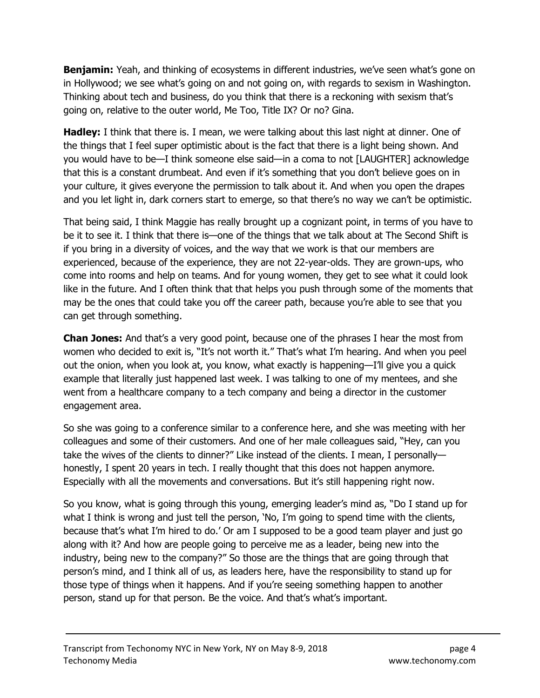**Benjamin:** Yeah, and thinking of ecosystems in different industries, we've seen what's gone on in Hollywood; we see what's going on and not going on, with regards to sexism in Washington. Thinking about tech and business, do you think that there is a reckoning with sexism that's going on, relative to the outer world, Me Too, Title IX? Or no? Gina.

**Hadley:** I think that there is. I mean, we were talking about this last night at dinner. One of the things that I feel super optimistic about is the fact that there is a light being shown. And you would have to be—I think someone else said—in a coma to not [LAUGHTER] acknowledge that this is a constant drumbeat. And even if it's something that you don't believe goes on in your culture, it gives everyone the permission to talk about it. And when you open the drapes and you let light in, dark corners start to emerge, so that there's no way we can't be optimistic.

That being said, I think Maggie has really brought up a cognizant point, in terms of you have to be it to see it. I think that there is—one of the things that we talk about at The Second Shift is if you bring in a diversity of voices, and the way that we work is that our members are experienced, because of the experience, they are not 22-year-olds. They are grown-ups, who come into rooms and help on teams. And for young women, they get to see what it could look like in the future. And I often think that that helps you push through some of the moments that may be the ones that could take you off the career path, because you're able to see that you can get through something.

**Chan Jones:** And that's a very good point, because one of the phrases I hear the most from women who decided to exit is, "It's not worth it." That's what I'm hearing. And when you peel out the onion, when you look at, you know, what exactly is happening—I'll give you a quick example that literally just happened last week. I was talking to one of my mentees, and she went from a healthcare company to a tech company and being a director in the customer engagement area.

So she was going to a conference similar to a conference here, and she was meeting with her colleagues and some of their customers. And one of her male colleagues said, "Hey, can you take the wives of the clients to dinner?" Like instead of the clients. I mean, I personally honestly, I spent 20 years in tech. I really thought that this does not happen anymore. Especially with all the movements and conversations. But it's still happening right now.

So you know, what is going through this young, emerging leader's mind as, "Do I stand up for what I think is wrong and just tell the person, 'No, I'm going to spend time with the clients, because that's what I'm hired to do.' Or am I supposed to be a good team player and just go along with it? And how are people going to perceive me as a leader, being new into the industry, being new to the company?" So those are the things that are going through that person's mind, and I think all of us, as leaders here, have the responsibility to stand up for those type of things when it happens. And if you're seeing something happen to another person, stand up for that person. Be the voice. And that's what's important.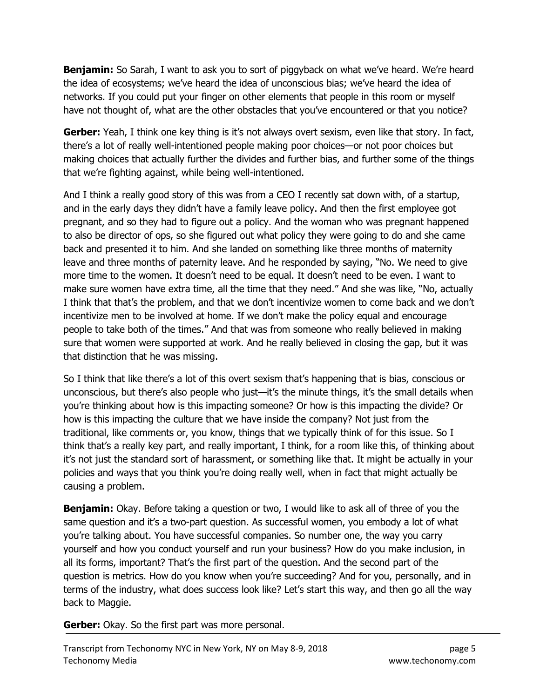**Benjamin:** So Sarah, I want to ask you to sort of piggyback on what we've heard. We're heard the idea of ecosystems; we've heard the idea of unconscious bias; we've heard the idea of networks. If you could put your finger on other elements that people in this room or myself have not thought of, what are the other obstacles that you've encountered or that you notice?

Gerber: Yeah, I think one key thing is it's not always overt sexism, even like that story. In fact, there's a lot of really well-intentioned people making poor choices—or not poor choices but making choices that actually further the divides and further bias, and further some of the things that we're fighting against, while being well-intentioned.

And I think a really good story of this was from a CEO I recently sat down with, of a startup, and in the early days they didn't have a family leave policy. And then the first employee got pregnant, and so they had to figure out a policy. And the woman who was pregnant happened to also be director of ops, so she figured out what policy they were going to do and she came back and presented it to him. And she landed on something like three months of maternity leave and three months of paternity leave. And he responded by saying, "No. We need to give more time to the women. It doesn't need to be equal. It doesn't need to be even. I want to make sure women have extra time, all the time that they need." And she was like, "No, actually I think that that's the problem, and that we don't incentivize women to come back and we don't incentivize men to be involved at home. If we don't make the policy equal and encourage people to take both of the times." And that was from someone who really believed in making sure that women were supported at work. And he really believed in closing the gap, but it was that distinction that he was missing.

So I think that like there's a lot of this overt sexism that's happening that is bias, conscious or unconscious, but there's also people who just—it's the minute things, it's the small details when you're thinking about how is this impacting someone? Or how is this impacting the divide? Or how is this impacting the culture that we have inside the company? Not just from the traditional, like comments or, you know, things that we typically think of for this issue. So I think that's a really key part, and really important, I think, for a room like this, of thinking about it's not just the standard sort of harassment, or something like that. It might be actually in your policies and ways that you think you're doing really well, when in fact that might actually be causing a problem.

**Benjamin:** Okay. Before taking a question or two, I would like to ask all of three of you the same question and it's a two-part question. As successful women, you embody a lot of what you're talking about. You have successful companies. So number one, the way you carry yourself and how you conduct yourself and run your business? How do you make inclusion, in all its forms, important? That's the first part of the question. And the second part of the question is metrics. How do you know when you're succeeding? And for you, personally, and in terms of the industry, what does success look like? Let's start this way, and then go all the way back to Maggie.

**Gerber:** Okay. So the first part was more personal.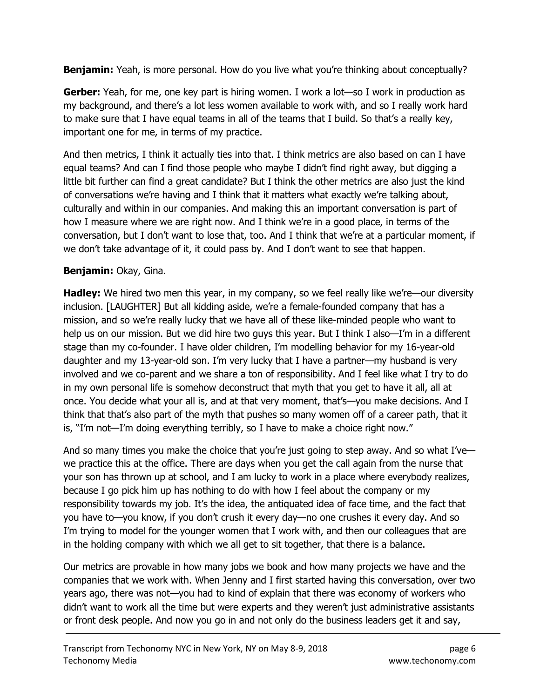**Benjamin:** Yeah, is more personal. How do you live what you're thinking about conceptually?

Gerber: Yeah, for me, one key part is hiring women. I work a lot—so I work in production as my background, and there's a lot less women available to work with, and so I really work hard to make sure that I have equal teams in all of the teams that I build. So that's a really key, important one for me, in terms of my practice.

And then metrics, I think it actually ties into that. I think metrics are also based on can I have equal teams? And can I find those people who maybe I didn't find right away, but digging a little bit further can find a great candidate? But I think the other metrics are also just the kind of conversations we're having and I think that it matters what exactly we're talking about, culturally and within in our companies. And making this an important conversation is part of how I measure where we are right now. And I think we're in a good place, in terms of the conversation, but I don't want to lose that, too. And I think that we're at a particular moment, if we don't take advantage of it, it could pass by. And I don't want to see that happen.

#### Benjamin: Okay, Gina.

**Hadley:** We hired two men this year, in my company, so we feel really like we're—our diversity inclusion. [LAUGHTER] But all kidding aside, we're a female-founded company that has a mission, and so we're really lucky that we have all of these like-minded people who want to help us on our mission. But we did hire two guys this year. But I think I also—I'm in a different stage than my co-founder. I have older children, I'm modelling behavior for my 16-year-old daughter and my 13-year-old son. I'm very lucky that I have a partner—my husband is very involved and we co-parent and we share a ton of responsibility. And I feel like what I try to do in my own personal life is somehow deconstruct that myth that you get to have it all, all at once. You decide what your all is, and at that very moment, that's—you make decisions. And I think that that's also part of the myth that pushes so many women off of a career path, that it is, "I'm not—I'm doing everything terribly, so I have to make a choice right now."

And so many times you make the choice that you're just going to step away. And so what I'vewe practice this at the office. There are days when you get the call again from the nurse that your son has thrown up at school, and I am lucky to work in a place where everybody realizes, because I go pick him up has nothing to do with how I feel about the company or my responsibility towards my job. It's the idea, the antiquated idea of face time, and the fact that you have to—you know, if you don't crush it every day—no one crushes it every day. And so I'm trying to model for the younger women that I work with, and then our colleagues that are in the holding company with which we all get to sit together, that there is a balance.

Our metrics are provable in how many jobs we book and how many projects we have and the companies that we work with. When Jenny and I first started having this conversation, over two years ago, there was not—you had to kind of explain that there was economy of workers who didn't want to work all the time but were experts and they weren't just administrative assistants or front desk people. And now you go in and not only do the business leaders get it and say,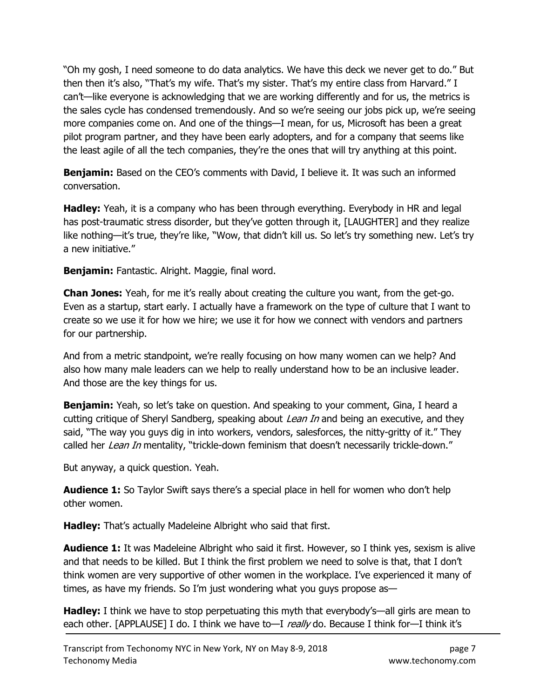"Oh my gosh, I need someone to do data analytics. We have this deck we never get to do." But then then it's also, "That's my wife. That's my sister. That's my entire class from Harvard." I can't—like everyone is acknowledging that we are working differently and for us, the metrics is the sales cycle has condensed tremendously. And so we're seeing our jobs pick up, we're seeing more companies come on. And one of the things—I mean, for us, Microsoft has been a great pilot program partner, and they have been early adopters, and for a company that seems like the least agile of all the tech companies, they're the ones that will try anything at this point.

**Benjamin:** Based on the CEO's comments with David, I believe it. It was such an informed conversation.

**Hadley:** Yeah, it is a company who has been through everything. Everybody in HR and legal has post-traumatic stress disorder, but they've gotten through it, [LAUGHTER] and they realize like nothing—it's true, they're like, "Wow, that didn't kill us. So let's try something new. Let's try a new initiative."

Benjamin: Fantastic. Alright. Maggie, final word.

**Chan Jones:** Yeah, for me it's really about creating the culture you want, from the get-go. Even as a startup, start early. I actually have a framework on the type of culture that I want to create so we use it for how we hire; we use it for how we connect with vendors and partners for our partnership.

And from a metric standpoint, we're really focusing on how many women can we help? And also how many male leaders can we help to really understand how to be an inclusive leader. And those are the key things for us.

**Benjamin:** Yeah, so let's take on question. And speaking to your comment, Gina, I heard a cutting critique of Sheryl Sandberg, speaking about *Lean In* and being an executive, and they said, "The way you guys dig in into workers, vendors, salesforces, the nitty-gritty of it." They called her Lean In mentality, "trickle-down feminism that doesn't necessarily trickle-down."

But anyway, a quick question. Yeah.

**Audience 1:** So Taylor Swift says there's a special place in hell for women who don't help other women.

**Hadley:** That's actually Madeleine Albright who said that first.

Audience 1: It was Madeleine Albright who said it first. However, so I think yes, sexism is alive and that needs to be killed. But I think the first problem we need to solve is that, that I don't think women are very supportive of other women in the workplace. I've experienced it many of times, as have my friends. So I'm just wondering what you guys propose as—

Hadley: I think we have to stop perpetuating this myth that everybody's—all girls are mean to each other. [APPLAUSE] I do. I think we have to—I really do. Because I think for—I think it's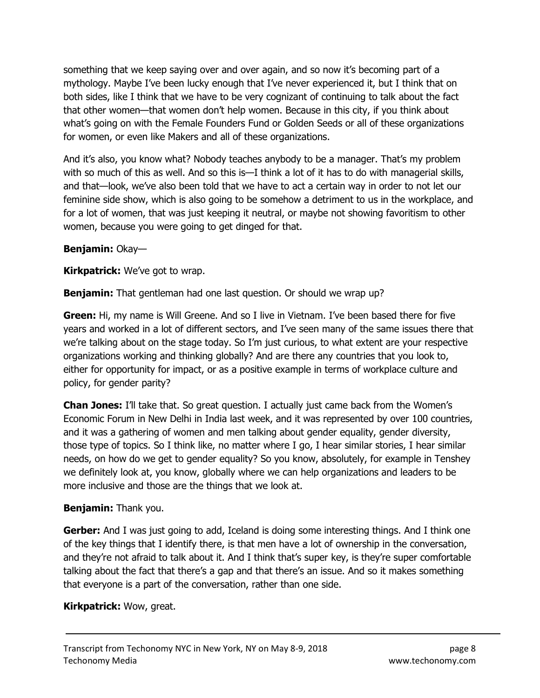something that we keep saying over and over again, and so now it's becoming part of a mythology. Maybe I've been lucky enough that I've never experienced it, but I think that on both sides, like I think that we have to be very cognizant of continuing to talk about the fact that other women—that women don't help women. Because in this city, if you think about what's going on with the Female Founders Fund or Golden Seeds or all of these organizations for women, or even like Makers and all of these organizations.

And it's also, you know what? Nobody teaches anybody to be a manager. That's my problem with so much of this as well. And so this is—I think a lot of it has to do with managerial skills, and that—look, we've also been told that we have to act a certain way in order to not let our feminine side show, which is also going to be somehow a detriment to us in the workplace, and for a lot of women, that was just keeping it neutral, or maybe not showing favoritism to other women, because you were going to get dinged for that.

#### Benjamin: Okay—

Kirkpatrick: We've got to wrap.

**Benjamin:** That gentleman had one last question. Or should we wrap up?

**Green:** Hi, my name is Will Greene. And so I live in Vietnam. I've been based there for five years and worked in a lot of different sectors, and I've seen many of the same issues there that we're talking about on the stage today. So I'm just curious, to what extent are your respective organizations working and thinking globally? And are there any countries that you look to, either for opportunity for impact, or as a positive example in terms of workplace culture and policy, for gender parity?

**Chan Jones:** I'll take that. So great question. I actually just came back from the Women's Economic Forum in New Delhi in India last week, and it was represented by over 100 countries, and it was a gathering of women and men talking about gender equality, gender diversity, those type of topics. So I think like, no matter where I go, I hear similar stories, I hear similar needs, on how do we get to gender equality? So you know, absolutely, for example in Tenshey we definitely look at, you know, globally where we can help organizations and leaders to be more inclusive and those are the things that we look at.

# Benjamin: Thank you.

Gerber: And I was just going to add, Iceland is doing some interesting things. And I think one of the key things that I identify there, is that men have a lot of ownership in the conversation, and they're not afraid to talk about it. And I think that's super key, is they're super comfortable talking about the fact that there's a gap and that there's an issue. And so it makes something that everyone is a part of the conversation, rather than one side.

# Kirkpatrick: Wow, great.